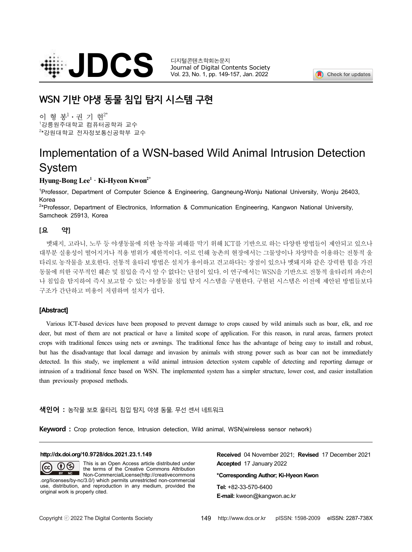

Journal of Digital Contents Society Vol. 23, No. 1, pp. 149-157, Jan. 2022



# **WSN 기반 야생 동물 침입 탐지 시스템 구현**

이 형 봉 $^{1}\cdot$  권 기 현 $^{2^{*}}$ <sup>1</sup>강릉원주대학교 컴퓨터공학과 교수 <sup>2</sup>\*강원대학교 전자정보통신공학부 교수

# Implementation of a WSN-based Wild Animal Intrusion Detection System

## **Hyung-Bong Lee<sup>1</sup> · Ki-Hyeon Kwon2\***

<sup>1</sup>Professor, Department of Computer Science & Engineering, Gangneung-Wonju National University, Wonju 26403, Korea

<sup>2</sup>\*Professor, Department of Electronics, Information & Communication Engineering, Kangwon National University, Samcheok 25913, Korea

## **[요 약]**

멧돼지, 고라니, 노루 등 야생동물에 의한 농작물 피해를 막기 위해 ICT를 기반으로 하는 다양한 방법들이 제안되고 있으나 대부분 실용성이 떨어지거나 적용 범위가 제한적이다. 이로 인해 농촌의 현장에서는 그물망이나 차양막을 이용하는 전통적 울 타리로 농작물을 보호한다. 전통적 울타리 방법은 설치가 용이하고 견고하다는 장점이 있으나 멧돼지와 같은 강력한 힘을 가진 동물에 의한 국부적인 훼손 및 침입을 즉시 알 수 없다는 단점이 있다. 이 연구에서는 WSN을 기반으로 전통적 울타리의 파손이 나 침입을 탐지하여 즉시 보고할 수 있는 야생동물 침입 탐지 시스템을 구현한다. 구현된 시스템은 이전에 제안된 방법들보다 구조가 간단하고 비용이 저렴하며 설치가 쉽다.

### **[Abstract]**

Various ICT-based devices have been proposed to prevent damage to crops caused by wild animals such as boar, elk, and roe deer, but most of them are not practical or have a limited scope of application. For this reason, in crops with traditional fences using nets or awnings. The traditional fence has the advantage of being easy to install and robust, but has the disadvantage that local damage and invasion by animals with strong power such as boar can not be immediately detected. In this study, we implement a wild animal intrusion detection system capable of detecting and reporting damage or intrusion of a traditional fence based on WSN. The implemented system has a simpler structure, low than previously proposed methods.

### **색인어 :** 농작물 보호 울타리, 침입 탐지, 야생 동물, 무선 센서 네트워크

**Keyword :** Crop protection fence, Intrusion detection, Wild animal, WSN(wireless sensor network)

#### **http://dx.doi.org/10.9728/dcs.2021.23.1.149**

This is an Open Access article distributed under  $\odot$  $(cc)$ the terms of the Creative Commons Attribution Non-CommercialLicense(http://creativecommons .org/licenses/by-nc/3.0/) which permits unrestricted non-commercial use, distribution, and reproduction in any medium, provided the original work is properly cited.

**Received** 04 November 2021; **Revised** 17 December 2021 **Accepted** 17 January 2022

**\*Corresponding Author; Ki-Hyeon Kwon**

**Tel:** +82-33-570-6400 **E-mail:** kweon@kangwon.ac.kr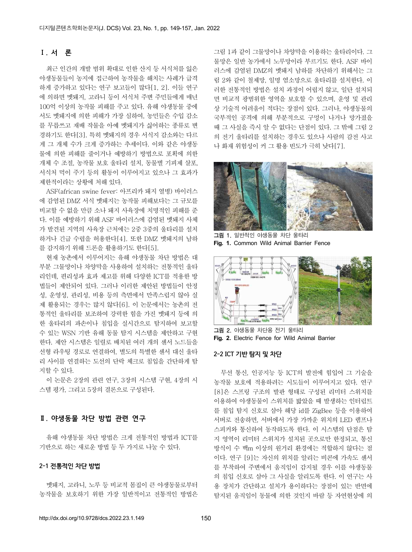## **Ⅰ. 서 론**

최근 인간의 개발 범위 확대로 인한 산지 등 서식처를 잃은 야생동물들이 농지에 접근하여 농작물을 해치는 사례가 급격 하게 증가하고 있다는 연구 보고들이 많다[1, 2]. 이들 연구 에 의하면 멧돼지, 고라니 등이 서식처 주변 주민들에게 매년 100억 이상의 농작물 피해를 주고 있다. 유해 야생동물 중에 서도 멧돼지에 의한 피해가 가장 심하여, 농민들은 수입 감소 를 무릅쓰고 재배 작물을 아예 멧돼지가 싫어하는 종류로 변 경하기도 한다[3]. 특히 멧돼지의 경우 서식지 감소와는 다르 게 그 개체 수가 크게 증가하는 추세이다. 이와 같은 야생동 물에 의한 피해를 줄이거나 예방하기 방법으로 포획에 의한 개체 수 조절, 농작물 보호 울타리 설치, 동물별 기피제 살포,<br>서식처 먹이 주기 등의 활동이 이루어지고 있으나 그 효과가 제한적이라는 상황에 처해 있다.

ASF(african swine fever: 아프리카 돼지 열병) 바이러스 에 감염된 DMZ 서식 멧돼지는 농작물 피해보다는 그 규모를 비교할 수 없을 만큼 소나 돼지 사육장에 치명적인 피해를 준 다. 이를 예방하기 위해 ASF 바이러스에 감염된 멧돼지 사체 가 발견된 지역의 사육장 근처에는 2중 3중의 울타리를 설치 하거나 긴급 수렵을 허용한다[4]. 또한 DMZ 멧돼지의 남하 를 감지하기 위해 드론을 활용하기도 한다[5].

현재 농촌에서 이루어지는 유해 야생동물 차단 방법은 대 부분 그물망이나 차양막을 사용하여 설치하는 전통적인 울타 리인데, 편리성과 효과 제고를 위해 다양한 ICT를 적용한 방 법들이 제안되어 있다. 그러나 이러한 제안된 방법들이 안정 성, 운영성, 관리성, 비용 등의 측면에서 만족스럽지 않아 실 제 활용되는 경우는 많지 않다[6]. 이 논문에서는 농촌의 전 통적인 울타리를 보조하여 강력한 힘을 가진 멧돼지 등에 의 한 울타리의 파손이나 침입을 실시간으로 탐지하여 보고할 수 있는 WSN 기반 유해 동물 탐지 시스템을 제안하고 구현 한다. 제안 시스템은 일렬로 배치된 여러 개의 센서 노드들을 선형 라우팅 경로로 연결하여, 별도의 특별한 센서 대신 울타 리 사이를 연결하는 도선의 단락 체크로 침입을 간단하게 탐 지할 수 있다.

이 논문은 2장의 관련 연구, 3장의 시스템 구현, 4장의 시 스템 평가, 그리고 5장의 결론으로 구성된다.

## **Ⅱ. 야생동물 차단 방법 관련 연구**

유해 야생동물 차단 방법은 크게 전통적인 방법과 ICT를 기반으로 하는 새로운 방법 등 두 가지로 나눌 수 있다.

#### **2-1 전통적인 차단 방법**

멧돼지, 고라니, 노루 등 비교적 몸집이 큰 야생동물로부터 농작물을 보호하기 위한 가장 일반적이고 전통적인 방법은

그림 1과 같이 그물망이나 차양막을 이용하는 울타리이다. 그 물망은 일반 농가에서 노루망이라 부르기도 한다. ASF 바이 러스에 감염된 DMZ의 멧돼지 남하를 차단하기 위해서는 그 림 2와 같이 철제망, 일명 염소망으로 울타리를 설치한다. 이 러한 전통적인 방법은 설치 과정이 어렵지 않고, 일단 설치되 면 비교적 광범위한 영역을 보호할 수 있으며, 운영 및 관리 상 기술적 어려움이 적다는 장점이 있다. 그러나, 야생동물의 국부적인 공격에 의해 부분적으로 구멍이 나거나 망가졌을 때 그 사실을 즉시 알 수 없다는 단점이 있다. 그 밖에 그림 2 의 전기 울타리를 설치하는 경우도 있으나 사람의 감전 사고 나 화재 위험성이 커 그 활용 빈도가 극히 낮다[7].



그림 1. 일반적인 야생동물 차단 울타리 **Fig. 1.** Common Wild Animal Barrier Fence



그림 2. 야생동물 차단용 전기 울타리 **Fig. 2.** Electric Fence for Wild Animal Barrier

#### **2-2 ICT 기반 탐지 및 차단**

무선 통신, 인공지능 등 ICT의 발전에 힘입어 그 기술을 농작물 보호에 적용하려는 시도들이 이루어지고 있다. 연구 [8]은 스프링 구조의 발판 형태로 구성된 리미터 스위치를 이용하여 야생동물이 스위치를 밟았을 때 발생하는 인터럽트 를 침입 탐지 신호로 삼아 해당 id를 ZigBee 등을 이용하여 서버로 전송하면, 서버에서 가장 가까운 위치의 LED 램프나 스피커와 통신하여 동작하도록 한다. 이 시스템의 단점은 탐 지 영역이 리미터 스위치가 설치된 곳으로만 한정되고, 통신 방식이 수 백m 이상의 원거리 환경에는 적합하지 않다는 점 이다. 연구 [9]는 자신의 위치를 알리는 비콘에 가속도 센서 를 부착하여 주변에서 움직임이 감지될 경우 이를 야생동물 의 침입 신호로 삼아 그 사실을 알리도록 한다. 이 연구는 사 용 장치가 간단하고 설치가 용이하다는 장점이 있는 반면에 탐지된 움직임이 동물에 의한 것인지 바람 등 자연현상에 의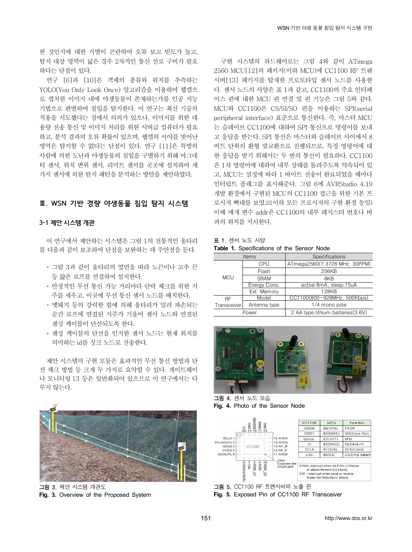한 것인지에 대한 식별이 곤란하여 오류 보고 빈도가 높고,<br>탐지 대상 영역이 넓은 경우 2차적인 통신 선로 구비가 필요 하다는 단점이 있다.

연구 [6]과 [10]은 객체의 종류와 위치를 추측하는 YOLO(You Only Look Once) 알고리즘을 이용하여 웹캠으 로 캡처한 이미지 내에 야생동물이 존재하는가를 인공 지능 기법으로 판별하여 침입을 탐지한다. 이 연구는 최신 기술의 적용을 시도했다는 점에서 의의가 있으나, 이미지를 위한 대 용량 전송 통신 및 이미지 처리를 위한 서버급 컴퓨터가 필요 하고, 분석 결과의 오류 확률이 있으며, 웹캠의 시야를 벗어난 영역은 탐지할 수 없다는 단점이 있다. 연구 [11]은 특별히 사람에 의한 도난과 야생동물의 침입을 구별하기 위해 마그네 틱 센서, 위치 변위 센서, 리미트 센서를 곳곳에 설치하여 세 가지 센서에 의한 탐지 패턴을 분석하는 방안을 제안하였다.

## **Ⅲ. WSN 기반 경량 야생동물 침입 탐지 시스템**

#### **3-1 제안 시스템 개관**

이 연구에서 제안하는 시스템은 그림 1의 전통적인 울타리 를 다음과 같이 보조하여 단점을 보완하는 데 주안점을 둔다.

- ∘ 그림 3과 같이 울타리의 옆면을 따라 노끈이나 고추 끈 등 얇은 로프를 연결하여 설치한다.
- ∘ 안정적인 무선 통신 가능 거리마다 단락 체크를 위한 지 주를 세우고, 이곳에 무선 통신 센서 노드를 배치한다.
- ∘ 멧돼지 등의 강력한 힘에 의해 울타리가 밀려 파손되는 순간 로프에 연결된 지주가 기울어 센서 노드와 연결된 센싱 케이블이 단선되도록 한다.
- ∘ 센싱 케이블의 단선을 인지한 센서 노드는 현재 위치를 의미하는 id를 싱크 노드로 전송한다.

제안 시스템의 구현 모듈은 효과적인 무선 통신 방법과 단 선 체크 방법 등 크게 두 가지로 요약할 수 있다. 게이트웨이 나 모니터링 UI 등은 일반화되어 있으므로 이 연구에서는 다 루지 않는다.



그림 3. 제안 시스템 개관도 **Fig. 3.** Overview of the Proposed System

구현 시스템의 하드웨어로는 그림 4와 같이 ATmega 2560 MCU[12]의 패키지(이하 MCU)에 CC1100 RF 트랜 시버[13] 패키지를 탑재한 프로토타입 센서 노드를 사용한 다. 센서 노드의 사양은 표 1과 같고, CC1100의 주요 인터페 이스 핀에 대한 MCU 핀 연결 및 핀 기능은 그림 5와 같다. peripheral interface) 표준으로 통신한다. 즉, 마스터 MCU 는 슬레이브 CC1100에 대하여 SPI 통신으로 명령어를 보내 고 응답을 받는다. SPI 통신은 마스터와 슬레이브 사이에서 8 비트 단위의 환형 맞교환으로 진행되므로, 특정 명령어에 대 한 응답을 받기 위해서는 두 번의 통신이 필요하다. CC1100 은 1차 명령어에 대하여 내부 상태를 돌려주도록 약속되어 있 고, MCU는 설정에 따라 1 바이트 전송이 완료되었을 때마다 인터럽트 플래그를 표시해준다. 그림 6에 AVRStudio 4.19 개발 환경에서 구현된 MCU의 CC1100 접근을 위한 기본 프 로시저 뼈대를 보였고(이하 모든 프로시저의 구현 환경 동일) 이때 매개 변수 addr은 CC1100의 내부 레지스터 번호나 버 퍼의 위치를 지시한다.

표 1. 센서 노드 사양 **Table 1.** Specifications of the Sensor Node

|                                              | <b>Items</b> | Specifications                     |  |
|----------------------------------------------|--------------|------------------------------------|--|
| <b>MCU</b>                                   | CPU          | ATmega2560(7.3728 MHz, 30PPM)      |  |
|                                              | Flash        | 256KB                              |  |
|                                              | <b>SRAM</b>  | 8KB                                |  |
|                                              | Energy Cons. | active:8mA, sleep:15uA             |  |
|                                              | Ext. Memory  | 128KB                              |  |
| <b>RF</b>                                    | Model        | CC1100(800~928MHz, 500Kbps)        |  |
| 1/4 mono pole<br>Antenna type<br>Transceiver |              |                                    |  |
|                                              | Power        | 2 AA type lithium batteries (3.6V) |  |



그림 4. 센서 노드 모습 **Fig. 4.** Photo of the Sensor Node



그림 5. CC1100 RF 트랜시버의 노출 핀

**Fig. 5.** Exposed Pin of CC1100 RF Transceiver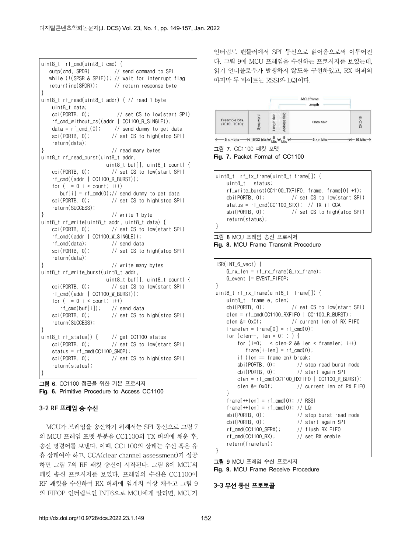```
uint8_t rf_cmd(uint8_t cmd) {
    outp(cmd, SPDR) // send command to SPI
    while (!(SPSR & SPIF)); // wait for interrupt flag
    return(inp(SPDR)); // return response byte
}
uint8_t rf_read(uint8_t addr) { // read 1 byte 
     uint8_t data; 
     cbi(PORTB, 0); // set CS to low(start SPI)
    rf cmd without cs((addr | CC1100 R SINGLE));
    data = rf cmd (0); // send dummy to get data
     sbi(PORTB, 0); // set CS to high(stop SPI)
     return(data);
                        // read many bytes
uint8_t rf_read_burst(uint8_t addr, 
                        uint8_t buf[], uint8_t count) { 
     cbi(PORTB, 0); // set CS to low(start SPI)
    rf_cmd((addr | CC1100_R_BURST));
    for (i = 0 i < count; i+1)
      buf[i] = rf_{cmd}(0);// send dummy to get data
     sbi(PORTB, 0); // set CS to high(stop SPI)
     return(SUCCESS);
} // write 1 byte 
uint8_t rf_write(uint8_t addr, uint8_t data) { 
     cbi(PORTB, 0); // set CS to low(start SPI)
     rf_cmd((addr | CC1100_W_SINGLE));
     rf_cmd(data); // send data
     sbi(PORTB, 0); // set CS to high(stop SPI)
     return(data);
                        } // write many bytes
uint8_t rf_write_burst(uint8_t addr,
                       uint8 t buf[], uint8 t count) {
     cbi(PORTB, 0); // set CS to low(start SPI)
     rf_cmd((addr | CC1100_W_BURST));
    for (i = 0 i < count; i+1)
      rf cmd(buf[i]); // send data
     sbi(PORTB, 0); // set CS to high(stop SPI)
     return(SUCCESS);
}
uint8 t rf status() { \frac{1}{2} // get CC1100 status
     cbi(PORTB, 0); // set CS to low(start SPI)
     status = rf_cmd(CC1100_SNOP);
     sbi(PORTB, 0); // set CS to high(stop SPI)
     return(status);
}
그림 6. CC1100 접근을 위한 기본 프로시저
```
**Fig. 6.** Primitive Procedure to Access CC1100

### **3-2 RF 프레임 송·수신**

MCU가 프레임을 송신하기 위해서는 SPI 통신으로 그림 7 의 MCU 프레임 포맷 부분을 CC1100의 TX 버퍼에 채운 후,<br>송신 명령어를 보낸다. 이때, CC1100의 상태는 수신 혹은 유 휴 상태여야 하고, CCA(clear channel assessment)가 성공 하면 그림 7의 RF 패킷 송신이 시작된다. 그림 8에 MCU의 패킷 송신 프로시저를 보였다. 프레임의 수신은 CC1100이 RF 패킷을 수신하여 RX 버퍼에 임계치 이상 채우고 그림 9 의 FIFOP 인터럽트인 INT6으로 MCU에게 알리면, MCU가 인터럽트 핸들러에서 SPI 통신으로 읽어옴으로써 이루어진 다. 그림 9에 MCU 프레임을 수신하는 프로시저를 보였는데,<br>읽기 언더플로우가 발생하지 않도록 구현하였고, RX 버퍼의 마지막 두 바이트는 RSSI와 LQI이다.



그림 7. CC1100 패킷 포맷

**Fig. 7.** Packet Format of CC1100

```
uint8_t rf_tx_frame(uint8_t frame[]) {
   uint8 t status;
   rf write_burst(CC1100_TXFIFO, frame, frame[0] +1);
    cbi(PORTB, 0); // set CS to low(start SPI)
   status = rf cmd(CC1100 STX); // TX if CCA
    sbi(PORTB, 0); // set CS to high(stop SPI)
    return(status);
}
```
그림 8 MCU 프레임 송신 프로시저 **Fig. 8.** MCU Frame Transmit Procedure

```
ISR(INT_6_vect) {
   G_r x_l = r f_r x_f r ame(G_r x_f r ame);
   G_event |= EVENT_FIFOP;
}
uint8 t rf rx frame(uint8 t frame[]) {
   uint8_t framele, clen;
    cbi(PORTB, 0); // set CS to low(start SPI)
   clen = rf\_cmd(CC1100_RXF | CC1100_R_BURST);
    clen &= 0x0f; // current len of RX FIFO
   framelen = frame[0] = rf cmd(0);
   for (clen--, len = 0; ;) {
       for (i=0; i < clen-2 && len < framelen; i++)
          frame[++len] = rf cmd(0); if (len == framelen) break;
        sbi(PORTB, 0); // stop read burst mode
        cbi(PORTB, 0); // start again SPI
       clen = rf cmd(CC1100 RXFIFO | CC1100 R BURST);
        clen &= 0x0f; // current len of RX FIFO 
 }
   frame[++len] = rf\_cmd(0); // RSSIframe[++len] = rf\_cmd(0); // LQI sbi(PORTB, 0); // stop burst read mode
    cbi(PORTB, 0); // start again SPI
   rf cmd(CC1100 SFRX); // flush RX FIFO
   rf cmd(CC1100 RX); // set RX enable
    return(framelen);
}
```
그림 9 MCU 프레임 수신 프로시저 **Fig. 9.** MCU Frame Receive Procedure

**3-3 무선 통신 프로토콜**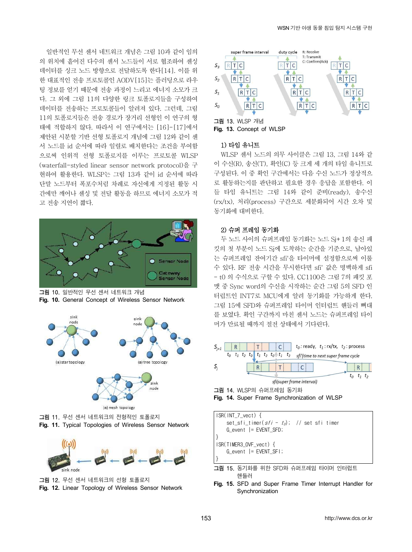일반적인 무선 센서 네트워크 개념은 그림 10과 같이 임의 의 위치에 흩어진 다수의 센서 노드들이 서로 협조하여 센싱 ss 데이터를 싱크 노드 방향으로 전달하도록 한다[14]. 이를 위 한 대표적인 전송 프로토콜인 AODV[15]는 플러딩으로 라우  $S_2$  R|T|C 팅 정보를 얻기 때문에 전송 과정이 느리고 에너지 소모가 크<br>  $S_1$  \\rightarrow Ref Rightarrow New York 과정이 느리고 에너지 소모가 크 다. 그 외에 그림 11의 다양한 링크 토폴로지들을 구성하여 데이터를 전송하는 프로토콜들이 알려져 있다. 그런데, 그림 11의 토폴로지들은 전송 경로가 장거리 선형인 이 연구의 형 태에 적합하지 않다. 따라서 이 연구에서는 [16]-[17]에서 제안된 시분할 기반 선형 토폴로지 개념에 그림 12와 같이 센 서 노드를 id 순서에 따라 일렬로 배치한다는 조건을 부여함 으로써 인위적 선형 토폴로지를 이루는 프로토콜 WLSP (waterfall-styled linear sensor network protocol)을 구 현하여 활용한다. WLSP는 그림 13과 같이 id 순서에 따라 단말 노드부터 폭포수처럼 차례로 자신에게 지정된 활동 시 간에만 깨어나 센싱 및 전달 활동을 하므로 에너지 소모가 적 고 전송 지연이 짧다.



그림 10. 일반적인 무선 센서 네트워크 개념 **Fig. 10.** General Concept of Wireless Sensor Network



그림 11. 무선 센서 네트워크의 전형적인 토폴로지 **Fig. 11.** Typical Topologies of Wireless Sensor Network



그림 12. 무선 센서 네트워크의 선형 토폴로지 **Fig. 12.** Linear Topology of Wireless Sensor Network



#### 1) 타임 유니트

WLSP 센서 노드의 의무 사이클은 그림 13, 그림 14와 같 이 수신(R), 송신(T), 확인(C) 등 크게 세 개의 타임 유니트로 구성된다. 이 중 확인 구간에서는 다음 수신 노드가 정상적으 로 활동하는지를 판단하고 필요한 경우 응답을 포함한다. 이 들 타임 유니트는 그림 14와 같이 준비(ready), 송수신 (rx/tx), 처리(process) 구간으로 세분화되어 시간 오차 및 동기화에 대비한다.

#### 2) 슈퍼 프레임 동기화

두 노드 사이의 슈퍼프레임 동기화는 노드 Sj+1의 송신 패 킷의 첫 부분이 노드 Sj에 도착하는 순간을 기준으로, 남아있 는 슈퍼프레임 잔여기간 sfi'을 타이머에 설정함으로써 이룰 수 있다. RF 전송 시간을 무시한다면 sfi' 값은 명백하게 sfi<br>- t0 의 수식으로 구할 수 있다. CC1100은 그림 7의 패킷 포 맷 중 Sync word의 수신을 시작하는 순간 그림 5의 SFD 인 터럽트인 INT7로 MCU에게 알려 동기화를 가능하게 한다.<br>그림 15에 SFD와 슈퍼프레임 타이머 인터럽트 핸들러 뼈대 를 보였다. 확인 구간까지 마친 센서 노드는 슈퍼프레임 타이 머가 만료될 때까지 절전 상태에서 기다린다.



ISR(INT\_7\_vect) { set sfi\_timer( $sfi - t_0$ ); // set sfi\_timer G\_event |= EVENT\_SFD; } ISR(TIMER3\_OVF\_vect) { G\_event |= EVENT\_SFI; } 그림 15. 동기화를 위한 SFD와 슈퍼프레임 타이머 인터럽트 핸들러

**Fig. 15.** SFD and Super Frame Timer Interrupt Handler for Synchronization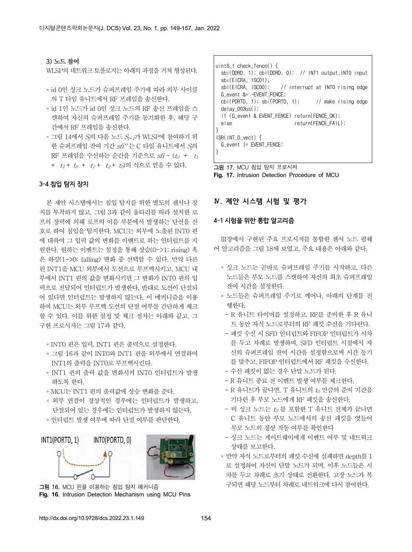#### 3) 노드 참여

WLSP의 네트워크 토폴로지는 아래의 과정을 거쳐 형성된다.

- id 0인 싱크 노드가 슈퍼프레임 주기에 따라 의무 사이클 | sbi(EICRA, ISC00); 의 T 타임 유니트에서 RF 프레임을 송신한다.
- ∘ id 1인 노드가 id 0인 싱크 노드의 RF 송신 프레임을 스 캔하여 자신의 슈퍼프레임 주기를 동기화한 후, 해당 구 간에서 RF 프레임을 송신한다.
- ∘ 그림 14에서 Sj의 다음 노드 Sj+1가 WLSP에 참여하기 위 한 슈퍼프레임 잔여 기간  $sfi''$ 는 C 타임 유니트에서  $S_i$ 의 RF 프레임을 수신하는 순간을 기준으로  $sfi - (t_0 + t_1)$ +  $t_2$  +  $t_0$  +  $t_1$  +  $t_2$  +  $t_0$ )의 식으로 얻을 수 있다.

#### **3-4 침입 탐지 장치**

본 제안 시스템에서는 침입 탐지를 위한 별도의 센서나 장 치를 부착하지 않고, 그림 3과 같이 울타리를 따라 설치한 로 프의 장력에 의해 로프의 이음 부분에서 발생하는 단선을 신 호로 하여 침입을 탐지한다. MCU는 외부에 노출된 INT0 핀 에 대하여 그 입력 값의 변화를 이벤트로 하는 인터럽트를 지 원한다. 원하는 이벤트는 설정을 통해 상승(0->1: rising) 혹 은 하강(1->0: falling) 변화 중 선택할 수 있다. 만약 다른 핀 INT1을 MCU 외부에서 도선으로 루프백시키고, MCU 내 부에서 INT1 핀의 값을 변화시키면 그 변화가 INT0 핀의 입 력으로 전달되어 인터럽트가 발생한다. 반대로 도선이 단절되 어 있다면 인터럽트는 발생하지 않는다. 이 메커니즘을 이용 하여 MCU는 외부 루프백 도선의 단절 여부를 간단하게 체크 할 수 있다. 이를 위한 설정 및 체크 절차는 아래와 같고, 그 구현 프로시저는 그림 17과 같다.

- ∘ INT0 핀은 입력, INT1 핀은 출력으로 설정한다.
- ∘ 그림 16과 같이 INT0와 INT1 핀을 외부에서 연결하여 INT1의 출력을 INT0로 루프백시킨다.
- ∘ INT1 핀의 출력 값을 변화시켜 INT0 인터럽트가 발생 하도록 한다.
- ∘ MCU는 INT1 핀의 출력값에 상승 변화를 준다.
- ◦외부 연결이 정상적인 경우에는 인터럽트가 발생하고,<br>□ 단절되어 있는 경우에는 인터럽트가 발생하지 않는다.
- ∘ 인터럽트 발생 여부에 따라 단절 여부를 판단한다.



**Fig. 16.** Intrusion Detection Mechanism using MCU Pins

```
uint8_t check_fence() {
   sbi(DDRD, 1); cbi(DDRD, 0); // INT1 output,INT0 input
   sbi(EICRA, ISC01); 
                      \frac{1}{2} interrupt at INT0 rising edge
 G_event &= ~EVENT_FENCE;
  cbi(PORTD, 1); sbi(PORTD, 1); // make rising edge
  delay_003us();
  if (G event & EVENT FENCE) return(FENCE OK);
                            return(FENCE_FAIL);
} 
ISR(INT_0_vect) {
  G_event |= EVENT_FENCE;
}
```
그림 17. MCU 침입 탐지 프로시저 **Fig. 17.** Intrusion Detection Procedure of MCU

### **Ⅳ. 제안 시스템 시험 및 평가**

#### **4-1 시험을 위한 통합 알고리즘**

Ⅲ장에서 구현된 주요 프로시저를 통합한 센서 노드 펌웨 어 알고리즘을 그림 18에 보였고, 주요 내용은 아래와 같다.

- ∘ 싱크 노드는 곧바로 슈퍼프레임 주기를 시작하고, 다른 노드들은 부모 노드를 스캔하여 자신의 최초 슈퍼프레임 잔여 시간을 설정한다.
- ∘ 노드들은 슈퍼프레임 주기로 깨어나, 아래의 단계를 진
- R 유니트 타이머를 설정하고, RF를 준비한 후 R 유니 - 트 동안 자식 노드로부터의 RF 패킷 수신을 기다린다.<br>- 패킷 수신 시 SFD 인터럽트와 FIFOP 인터럽트가 시차
- 를 두고 차례로 발생하며, SFD 인터럽트 시점에서 자 신의 슈퍼프레임 잔여 시간을 설정함으로써 시간 동기 를 맞추고, FIFOP 인터럽트에서 RF 패킷을 수신한다.<br>- 수신 패킷이 없는 경우 단말 노드가 된다.<br>- R 유니트 종료 전 이벤트 발생 여부를 체크한다.<br>- R 유니트가 끝나면, T 유니트의 *t<sub>0</sub>* 만큼의 준비 기간을
- 
- 
- 기다린 후 부모 노드에게 RF 패킷을 송신한다.<br>- 비 싱크 노드는 to 를 포함한 T 유니트 전체가 끝나면
- C 유니트 동안 부모 노드에서의 송신 패킷을 엿들어 부모 노드의 정상 작동 여부를 확인한다
- 싱크 노드는 게이트웨이에게 이벤트 여부 및 네트워크 상태를 보고한다.
- ∘ 만약 자식 노드로부터의 패킷 수신에 실패하면 depth를 1 로 설정하여 자신이 단말 노드가 되며, 이후 노드들은 시 차를 두고 차례로 초기 상태로 전환한다. 고장 노드가 복 구되면 해당 노드부터 차례로 네트워크에 다시 참여한다.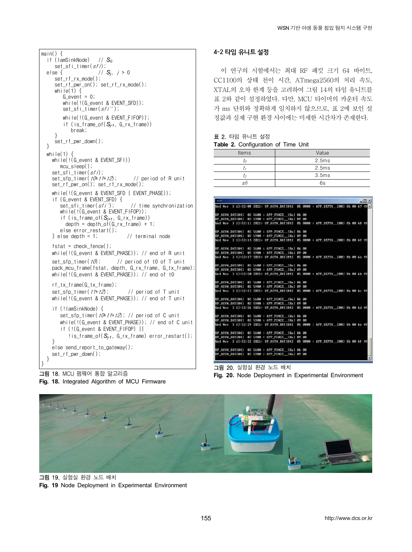| $main() \{$<br>if (lamSinkNode) // $S_0$                                                                            | L                     |
|---------------------------------------------------------------------------------------------------------------------|-----------------------|
| set sfi timer( <i>sfi</i> );                                                                                        |                       |
| // $S_j$ , $j > 0$<br>else {                                                                                        |                       |
| set rf rx mode();<br>while(1) $\{$                                                                                  | (<br>$\sum_{i=1}^{n}$ |
| $G$ event = 0;                                                                                                      |                       |
| while( $\frac{1}{6}$ event & EVENT SFD));<br>set_sfi_timer(sfi'');                                                  | ミー・ノ                  |
| while(!(G_event & EVENT_FIFOP));<br>if (is_frame_of( $S_{i-1}$ , G_rx_frame))<br>break:<br>ł                        | ž                     |
| set_rf_pwr_down();<br>ł                                                                                             | З                     |
| while(1) $\{$                                                                                                       |                       |
| while(!(G_event & EVENT_SFI))<br>$mcu$ sleep();                                                                     |                       |
| set sfi timer( <i>sfi</i> );                                                                                        |                       |
| set_sfp_timer( <i>t0</i> + <i>t1</i> + <i>t2</i> ); // period of R unit                                             |                       |
| while(!(G event & EVENT SFD   EVENT PHASE));                                                                        |                       |
| if (G_event & EVENT_SFD) {                                                                                          |                       |
| set_sfi_timer( <i>sfi'</i> );<br>// time synchronization<br>while(!(G_event & EVENT_FIFOP));                        |                       |
| if (is_frame_of( $S_{i+1}$ , G_rx_frame))                                                                           |                       |
| $depth = depth_of(G_r x_f ram) + 1;$                                                                                |                       |
| else error_restart();                                                                                               |                       |
| } else depth = 1;<br>// terminal node                                                                               |                       |
| $fstat = check fence();$<br>while(!(G_event & EVENT_PHASE)); // end of R unit                                       |                       |
| // period of t0 of T unit<br>set sfp timer( <i>t0</i> );                                                            |                       |
| pack_mcu_frame(fstat, depth, G_rx_frame, G_tx_frame);<br>while(!(G event & EVENT PHASE)); // end of t0              |                       |
| rf tx frame(G tx frame);                                                                                            |                       |
| set_sfp_timer( <i>t1</i> + <i>t2</i> );<br>// period of T unit<br>while(!(G_event & EVENT_PHASE)); // end of T unit |                       |
| if (!lamSinkNode) {                                                                                                 |                       |
| set_sfp_timer( <i>t0</i> + <i>t1</i> + <i>t2</i> ); // period of C unit                                             |                       |
| while(!(G_event & EVENT_PHASE)); // end of C unit                                                                   |                       |
| if (!(G event & EVENT FIFOP)                                                                                        |                       |
| !is_frame_of( $S_{i-1}$ , G_rx_frame) error_restart();<br>ł                                                         |                       |
| else send_report_to_gateway();                                                                                      |                       |
| set_rf_pwr_down();<br>$\mathcal{F}$                                                                                 |                       |
| }                                                                                                                   |                       |

그림 18. MCU 펌웨어 통합 알고리즘 **Fig. 18.** Integrated Algorithm of MCU Firmware

## **4-2 타임 유니트 설정**

이 연구의 시험에서는 최대 RF 패킷 크기 64 바이트, CC1100의 상태 천이 시간, ATmega2560의 처리 속도, XTAL의 오차 한계 등을 고려하여 그림 14의 타임 유니트를 표 2와 같이 설정하였다. 다만, MCU 타이머의 카운터 속도 가 ms 단위와 정확하게 일치하지 않으므로, 표 2에 보인 설 정값과 실제 구현 환경 사이에는 미세한 시간차가 존재한다.

|       |  | <b>표 2.</b> 타임 유니트 설정 |  |  |
|-------|--|-----------------------|--|--|
| _ _ _ |  |                       |  |  |

| <b>Table 2.</b> Configuration of Time Unit |  |
|--------------------------------------------|--|
|--------------------------------------------|--|

| Items | Value |
|-------|-------|
|       | 2.5ms |
|       | 2.5ms |
|       | 3.5ms |
| efi   | 6s    |

| $=$ $\sim$                                                                     |  |                                        |  |  | $ \Box$ $\times$ |
|--------------------------------------------------------------------------------|--|----------------------------------------|--|--|------------------|
| Wed Nov 3 13:52:08 2021: UP ASYN DATI04]                                       |  | 05 0000 : APP_DEPTH_[00] 0b 00 67 49 4 |  |  |                  |
| UP_ASYN_DAT[04] 03 5600 : APP_FENCE_[0a] 06 00                                 |  |                                        |  |  |                  |
| UP_ASYN_DAT[04] 03 5900 : APP_FENCE_[0a] 09 00                                 |  |                                        |  |  |                  |
| Wed Nov 3 13:52:11 2021: UP_ASYN_DAT[04] 05 0000 : APP_DEPTH__[00] 0b 00 68 49 |  |                                        |  |  |                  |
| UP_ASYN_DAT[04] 03 5600 : APP_FENCE_[0a] 06 00                                 |  |                                        |  |  |                  |
| UP_ASYN_DAI[04] 03 5900 : APP_FENCE__[0a] 09 00                                |  |                                        |  |  |                  |
| Wed Nov 3 13:52:14 2021: UP_ASYN_DAT[04] 05 0000 : APP_DEPTH__[00] 0b 00 69 49 |  |                                        |  |  |                  |
| UP_ASYN_DAT[04] 03 5600 : APP_FENCE_[0a] 06 00                                 |  |                                        |  |  |                  |
| UP_ASYN_DAT[04] 03 5900 : APP_FENCE_[0a] 09 00                                 |  |                                        |  |  |                  |
| Wed Nov 3 13:52:17 2021: UP_ASYN_DAT[04] 05 0000 : APP_DEPTH__[00] 0b 00 6a 49 |  |                                        |  |  |                  |
| UP_ASYN_DAT[04] 03 5600 : APP_FENCE_[0a] 06 00                                 |  |                                        |  |  |                  |
| UP_ASYN_DAT[04] 03 5900 : APP_FENCE_[0a] 09 00                                 |  |                                        |  |  |                  |
| Wed Nov 3 13:52:20 2021: UP_ASYN_DAT[04] 05 0000 : APP_DEPTH__[00] 0b 00 6b 49 |  |                                        |  |  |                  |
| UP_ASYN_DAT[04] 03 5600 : APP_FENCE__[0a] 06 00                                |  |                                        |  |  |                  |
| UP_ASYN_DAT[04] 03 5900 : APP_FENCE_[0a] 09 00                                 |  |                                        |  |  |                  |
| Wed Nov 3 13:52:23 2021: UP_ASYN_DAT[04] 05 0000 : APP_DEPTH__[00] 0b 00 6c 49 |  |                                        |  |  |                  |
| UP_ASYN_DATI041 03 5600 : APP_FENCE_I0a1 06 00                                 |  |                                        |  |  |                  |
| UP_ASYN_DAT[04] 03 5900 : APP_FENCE_[0a] 09 00                                 |  |                                        |  |  |                  |
| Wed Nov 3 13:52:26 2021: UP_ASYN_DAT[04] 05 0000 : APP_DEPTH__[00] 0b 00 6d 49 |  |                                        |  |  |                  |
| UP_ASYN_DAT[04] 03 5600 : APP_FENCE_[0a] 06 00                                 |  |                                        |  |  |                  |
| UP_ASYN_DAT[04] 03 5900 : APP_FENCE_[0a] 09 00                                 |  |                                        |  |  |                  |
| Wed Nov 3 13:52:29 2021: UP_ASYN_DAT[04] 05 0000 : APP_DEPTH__[00] 0b 00 6e 49 |  |                                        |  |  |                  |
| UP ASYN DATI041 03 5600 : APP FENCE [0a] 06 00                                 |  |                                        |  |  |                  |
| UP_ASYN_DAT[04] 03 5900 : APP_FENCE_[0a] 09 00                                 |  |                                        |  |  |                  |
| Wed Nov 3 13:52:32 2021: UP_ASYN_DAT[04] 05 0000 : APP_DEPTH_[00] 0b 00 6f 49  |  |                                        |  |  |                  |
| UP ASYN DATI041 03 5600 : APP FENCE [0a] 06 00                                 |  |                                        |  |  |                  |
|                                                                                |  |                                        |  |  | ₹                |

그림 20. 실험실 환경 노드 배치

**Fig. 20.** Node Deployment in Experimental Environment



그림 19. 실험실 환경 노드 배치 Fig. 19 Node Deployment in Experimental Environment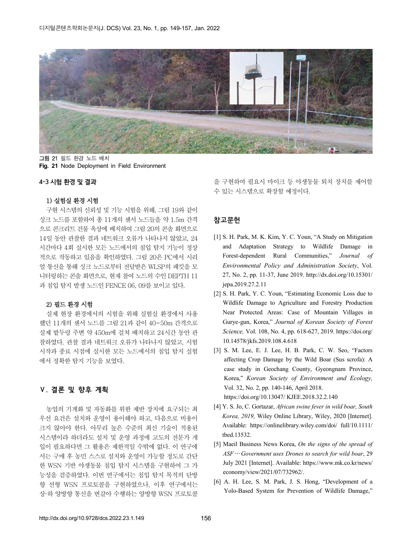

그림 21 필드 환경 노드 배치 **Fig. 21** Node Deployment in Field Environment

#### **4-3 시험 환경 및 결과**

#### 1) 실험실 환경 시험

구현 시스템의 신뢰성 및 기능 시험을 위해, 그림 19와 같이 싱크 노드를 포함하여 총 11개의 센서 노드들을 약 1.5m 간격 으로 콘크리트 건물 옥상에 배치하여 그림 20의 콘솔 화면으로 14일 동안 관찰한 결과 네트워크 오류가 나타나지 않았고, 24 시간마다 4회 실시한 모든 노드에서의 침입 탐지 기능이 정상 적으로 작동하고 있음을 확인하였다. 그림 20은 PC에서 시리 얼 통신을 통해 싱크 노드로부터 전달받은 WLSP의 패킷을 모 니터링하는 콘솔 화면으로, 현재 참여 노드의 수인 DEPTH 11 과 침입 탐지 발생 노드인 FENCE 06, 09를 보이고 있다.

#### 2) 필드 환경 시험

실제 현장 환경에서의 시험을 위해 실험실 환경에서 사용 했던 11개의 센서 노드를 그림 21과 같이 40~50m 간격으로 실제 밭두렁 주변 약 450m에 걸쳐 배치하고 24시간 동안 관 찰하였다. 관찰 결과 네트워크 오류가 나타나지 않았고, 시험 시작과 종료 시점에 실시한 모든 노드에서의 침입 탐지 실험 에서 정확한 탐지 기능을 보였다.

#### **Ⅴ. 결론 및 향후 계획**

농업의 기계화 및 자동화를 위한 제반 장치에 요구되는 최 우선 요건은 설치와 운영이 용이해야 하고, 다음으로 비용이 크지 않아야 한다. 아무리 높은 수준의 최신 기술이 적용된 시스템이라 하더라도 설치 및 운영 과정에 고도의 전문가 개 입이 필요하다면 그 활용은 제한적일 수밖에 없다. 이 연구에 서는 구매 후 농민 스스로 설치와 운영이 가능할 정도로 간단 한 WSN 기반 야생동물 침입 탐지 시스템을 구현하여 그 가 능성을 검증하였다. 이번 연구에서는 침입 탐지 목적의 단방 향 선형 WSN 프로토콜을 구현하였으나, 이후 연구에서는 상·하 양방향 통신을 번갈아 수행하는 양방향 WSN 프로토콜

을 구현하여 필요시 마이크 등 야생동물 퇴치 장치를 제어할 수 있는 시스템으로 확장할 예정이다.

## **참고문헌**

- [1] S. H. Park, M. K. Kim, Y. C. Youn, "A Study on Mitigation and Adaptation Strategy to Wildlife Damage in Forest-dependent Rural Communities," *Journal of Environmental Policy and Administration Society*, Vol. 27, No. 2, pp. 11-37, June 2019. http://dx.doi.org/10.15301/ jepa.2019.27.2.11
- [2] S. H. Park, Y. C. Youn, "Estimating Economic Loss due to Wildlife Damage to Agriculture and Forestry Production Near Protected Areas: Case of Mountain Villages in Gurye-gun, Korea," *Journal of Korean Society of Forest Science,* Vol. 108, No. 4, pp. 618-627, 2019. https://doi.org/ 10.14578/jkfs.2019.108.4.618
- [3] S. M. Lee, E. J. Lee, H. B. Park, C. W. Seo, "Factors affecting Crop Damage by the Wild Boar (Sus scrofa): A case study in Geochang County, Gyeongnam Province, Korea," *Korean Society of Environment and Ecology,* Vol. 32, No. 2, pp. 140-146, April 2018. https://doi.org/10.13047/ KJEE.2018.32.2.140
- [4] Y. S. Jo, C. Gortazar, *African swine fever in wild boar, South Korea, 2019,* Wiley Online Library, Wiley, 2020 [Internet]. Available: https://onlinelibrary.wiley.com/doi/ full/10.1111/ tbed.13532.
- [5] Maeil Business News Korea, *On the signs of the spread of ASF*… *Government uses Drones to search for wild boar*, 29 July 2021 [Internet]. Available: https://www.mk.co.kr/news/ economy/view/2021/07/732962/.
- Yolo-Based System for Prevention of Wildlife Damage,"